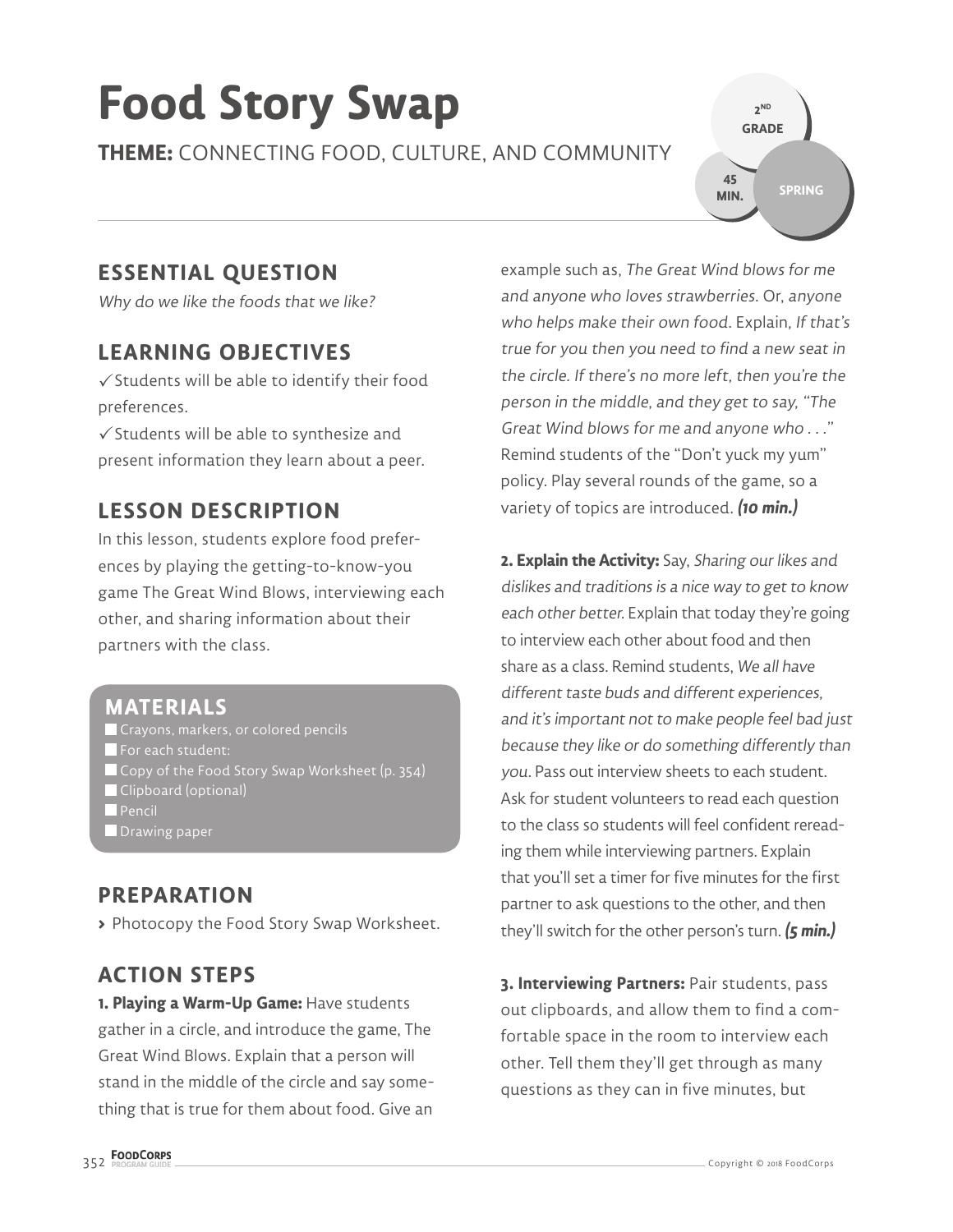# **Food Story Swap**

**THEME:** CONNECTING FOOD, CULTURE, AND COMMUNITY

**SPRING 45 MIN.**

**2 ND GRADE** 

# **ESSENTIAL QUESTION**

Why do we like the foods that we like?

# **LEARNING OBJECTIVES**

 $\checkmark$  Students will be able to identify their food preferences.

 $\checkmark$  Students will be able to synthesize and present information they learn about a peer.

# **LESSON DESCRIPTION**

In this lesson, students explore food preferences by playing the getting-to-know-you game The Great Wind Blows, interviewing each other, and sharing information about their partners with the class.

### **MATERIALS**

Crayons, markers, or colored pencils For each student: Copy of the Food Story Swap Worksheet (p. 354) Clipboard (optional) **Pencil** 

**Drawing paper** 

# **PREPARATION**

**>** Photocopy the Food Story Swap Worksheet.

# **ACTION STEPS**

**1. Playing a Warm-Up Game:** Have students gather in a circle, and introduce the game, The Great Wind Blows. Explain that a person will stand in the middle of the circle and say something that is true for them about food. Give an example such as, The Great Wind blows for me and anyone who loves strawberries. Or, anyone who helps make their own food. Explain, If that's true for you then you need to find a new seat in the circle. If there's no more left, then you're the person in the middle, and they get to say, "The Great Wind blows for me and anyone who . . ." Remind students of the "Don't yuck my yum" policy. Play several rounds of the game, so a variety of topics are introduced. **(10 min.)**

**2. Explain the Activity:** Say, Sharing our likes and dislikes and traditions is a nice way to get to know each other better. Explain that today they're going to interview each other about food and then share as a class. Remind students, We all have different taste buds and different experiences, and it's important not to make people feel bad just because they like or do something differently than you. Pass out interview sheets to each student. Ask for student volunteers to read each question to the class so students will feel confident rereading them while interviewing partners. Explain that you'll set a timer for five minutes for the first partner to ask questions to the other, and then they'll switch for the other person's turn. **(5 min.)**

**3. Interviewing Partners:** Pair students, pass out clipboards, and allow them to find a comfortable space in the room to interview each other. Tell them they'll get through as many questions as they can in five minutes, but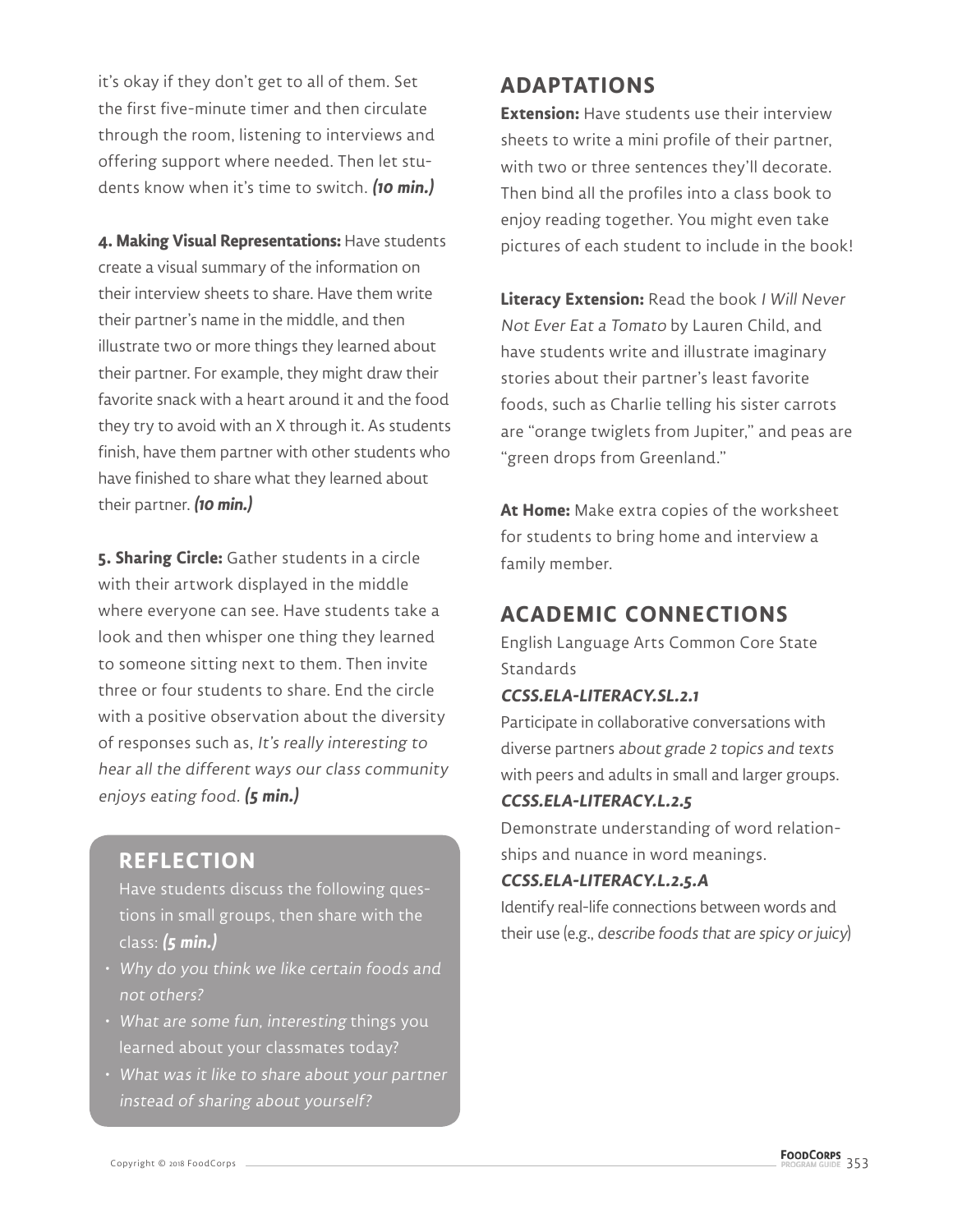it's okay if they don't get to all of them. Set the first five-minute timer and then circulate through the room, listening to interviews and offering support where needed. Then let students know when it's time to switch. **(10 min.)**

**4. Making Visual Representations:** Have students create a visual summary of the information on their interview sheets to share. Have them write their partner's name in the middle, and then illustrate two or more things they learned about their partner. For example, they might draw their favorite snack with a heart around it and the food they try to avoid with an X through it. As students finish, have them partner with other students who have finished to share what they learned about their partner. **(10 min.)**

**5. Sharing Circle:** Gather students in a circle with their artwork displayed in the middle where everyone can see. Have students take a look and then whisper one thing they learned to someone sitting next to them. Then invite three or four students to share. End the circle with a positive observation about the diversity of responses such as, It's really interesting to hear all the different ways our class community enjoys eating food. **(5 min.)**

#### **REFLECTION**

Have students discuss the following questions in small groups, then share with the class: **(5 min.)**

- Why do you think we like certain foods and not others?
- What are some fun, interesting things you learned about your classmates today?
- What was it like to share about your partner instead of sharing about yourself?

## **ADAPTATIONS**

**Extension:** Have students use their interview sheets to write a mini profile of their partner, with two or three sentences they'll decorate. Then bind all the profiles into a class book to enjoy reading together. You might even take pictures of each student to include in the book!

**Literacy Extension:** Read the book I Will Never Not Ever Eat a Tomato by Lauren Child, and have students write and illustrate imaginary stories about their partner's least favorite foods, such as Charlie telling his sister carrots are "orange twiglets from Jupiter," and peas are "green drops from Greenland."

**At Home:** Make extra copies of the worksheet for students to bring home and interview a family member.

# **ACADEMIC CONNECTIONS**

English Language Arts Common Core State Standards

#### **CCSS.ELA-LITERACY.SL.2.1**

Participate in collaborative conversations with diverse partners about grade 2 topics and texts with peers and adults in small and larger groups.

#### **CCSS.ELA-LITERACY.L.2.5**

Demonstrate understanding of word relationships and nuance in word meanings.

#### **CCSS.ELA-LITERACY.L.2.5.A**

Identify real-life connections between words and their use (e.g., describe foods that are spicy or juicy)